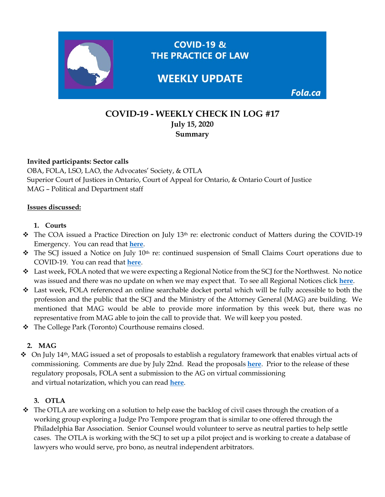

# **COVID-19 - WEEKLY CHECK IN LOG #17 July 15, 2020 Summary**

### **Invited participants: Sector calls**

OBA, FOLA, LSO, LAO, the Advocates' Society, & OTLA Superior Court of Justices in Ontario, Court of Appeal for Ontario, & Ontario Court of Justice MAG – Political and Department staff

#### **Issues discussed:**

### **1. Courts**

- \* The COA issued a Practice Direction on July 13<sup>th</sup> re: electronic conduct of Matters during the COVID-19 Emergency. You can read that **[here](https://www.ontariocourts.ca/coa/en/notices/covid-19/practice-direction-electronic-conduct-amended.pdf)**.
- \* The SCJ issued a Notice on July 10<sup>th</sup> re: continued suspension of Small Claims Court operations due to COVID-19. You can read that **[here](https://www.ontariocourts.ca/scj/notices-and-orders-covid-19/continued-suspension-scc-operations/)**.
- $\bullet$  Last week, FOLA noted that we were expecting a Regional Notice from the SCJ for the Northwest. No notice was issued and there was no update on when we may expect that. To see all Regional Notices click **[here](https://www.ontariocourts.ca/scj/notices-and-orders-covid-19/#REGIONAL_NOTICES)**.
- $\div$  Last week, FOLA referenced an online searchable docket portal which will be fully accessible to both the profession and the public that the SCJ and the Ministry of the Attorney General (MAG) are building. We mentioned that MAG would be able to provide more information by this week but, there was no representative from MAG able to join the call to provide that. We will keep you posted.
- The College Park (Toronto) Courthouse remains closed.

### **2. MAG**

 $\div$  On July 14<sup>th</sup>, MAG issued a set of proposals to establish a regulatory framework that enables virtual acts of commissioning. Comments are due by July 22nd. Read the proposals **[here](https://www.ontariocanada.com/registry/view.do?postingId=33588&language=en)**. Prior to the release of these regulatory proposals, FOLA sent a submission to the AG on virtual commissioning and virtual notarization, which you can read **[here](https://img1.wsimg.com/blobby/go/63f6349d-d85d-4511-bc5f-4314d54b45d0/downloads/FOLA%20SUBMISSIONS%20TO%20MAG%20JUNE%2012%202020.pdf?ver=1592142369403)**.

#### **3. OTLA**

◆ The OTLA are working on a solution to help ease the backlog of civil cases through the creation of a working group exploring a Judge Pro Tempore program that is similar to one offered through the Philadelphia Bar Association. Senior Counsel would volunteer to serve as neutral parties to help settle cases. The OTLA is working with the SCJ to set up a pilot project and is working to create a database of lawyers who would serve, pro bono, as neutral independent arbitrators.